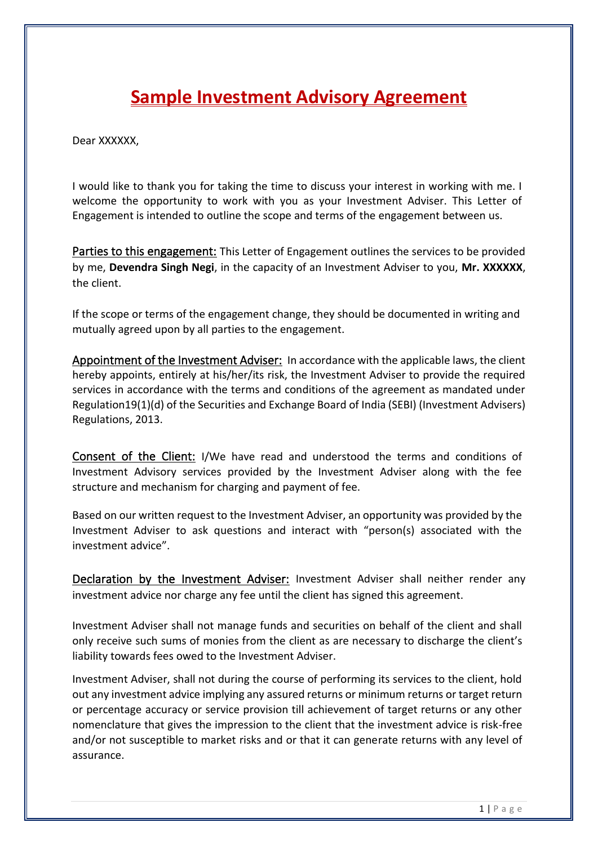# **Sample Investment Advisory Agreement**

Dear XXXXXX.

I would like to thank you for taking the time to discuss your interest in working with me. I welcome the opportunity to work with you as your Investment Adviser. This Letter of Engagement is intended to outline the scope and terms of the engagement between us.

Parties to this engagement: This Letter of Engagement outlines the services to be provided by me, **Devendra Singh Negi**, in the capacity of an Investment Adviser to you, **Mr. XXXXXX**, the client.

If the scope or terms of the engagement change, they should be documented in writing and mutually agreed upon by all parties to the engagement.

Appointment of the Investment Adviser: In accordance with the applicable laws, the client hereby appoints, entirely at his/her/its risk, the Investment Adviser to provide the required services in accordance with the terms and conditions of the agreement as mandated under Regulation19(1)(d) of the Securities and Exchange Board of India (SEBI) (Investment Advisers) Regulations, 2013.

Consent of the Client: I/We have read and understood the terms and conditions of Investment Advisory services provided by the Investment Adviser along with the fee structure and mechanism for charging and payment of fee.

Based on our written request to the Investment Adviser, an opportunity was provided by the Investment Adviser to ask questions and interact with "person(s) associated with the investment advice".

Declaration by the Investment Adviser: Investment Adviser shall neither render any investment advice nor charge any fee until the client has signed this agreement.

Investment Adviser shall not manage funds and securities on behalf of the client and shall only receive such sums of monies from the client as are necessary to discharge the client's liability towards fees owed to the Investment Adviser.

Investment Adviser, shall not during the course of performing its services to the client, hold out any investment advice implying any assured returns or minimum returns or target return or percentage accuracy or service provision till achievement of target returns or any other nomenclature that gives the impression to the client that the investment advice is risk-free and/or not susceptible to market risks and or that it can generate returns with any level of assurance.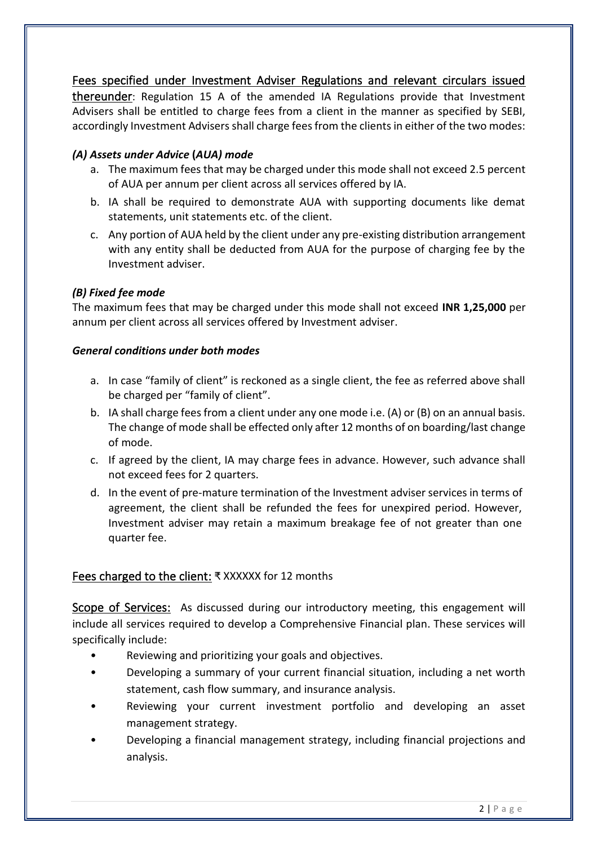Fees specified under Investment Adviser Regulations and relevant circulars issued thereunder: Regulation 15 A of the amended IA Regulations provide that Investment Advisers shall be entitled to charge fees from a client in the manner as specified by SEBI, accordingly Investment Advisers shall charge fees from the clients in either of the two modes:

# *(A) Assets under Advice* **(***AUA) mode*

- a. The maximum fees that may be charged under this mode shall not exceed 2.5 percent of AUA per annum per client across all services offered by IA.
- b. IA shall be required to demonstrate AUA with supporting documents like demat statements, unit statements etc. of the client.
- c. Any portion of AUA held by the client under any pre-existing distribution arrangement with any entity shall be deducted from AUA for the purpose of charging fee by the Investment adviser.

## *(B) Fixed fee mode*

The maximum fees that may be charged under this mode shall not exceed **INR 1,25,000** per annum per client across all services offered by Investment adviser.

### *General conditions under both modes*

- a. In case "family of client" is reckoned as a single client, the fee as referred above shall be charged per "family of client".
- b. IA shall charge fees from a client under any one mode i.e. (A) or (B) on an annual basis. The change of mode shall be effected only after 12 months of on boarding/last change of mode.
- c. If agreed by the client, IA may charge fees in advance. However, such advance shall not exceed fees for 2 quarters.
- d. In the event of pre-mature termination of the Investment adviser services in terms of agreement, the client shall be refunded the fees for unexpired period. However, Investment adviser may retain a maximum breakage fee of not greater than one quarter fee.

# Fees charged to the client: ₹ XXXXXX for 12 months

Scope of Services: As discussed during our introductory meeting, this engagement will include all services required to develop a Comprehensive Financial plan. These services will specifically include:

- Reviewing and prioritizing your goals and objectives.
- Developing a summary of your current financial situation, including a net worth statement, cash flow summary, and insurance analysis.
- Reviewing your current investment portfolio and developing an asset management strategy.
- Developing a financial management strategy, including financial projections and analysis.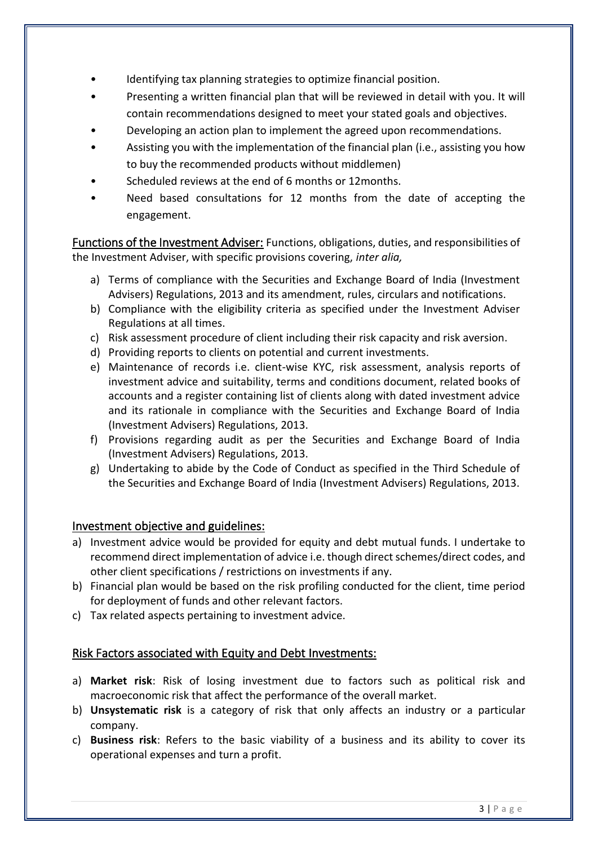- Identifying tax planning strategies to optimize financial position.
- Presenting a written financial plan that will be reviewed in detail with you. It will contain recommendations designed to meet your stated goals and objectives.
- Developing an action plan to implement the agreed upon recommendations.
- Assisting you with the implementation of the financial plan (i.e., assisting you how to buy the recommended products without middlemen)
- Scheduled reviews at the end of 6 months or 12 months.
- Need based consultations for 12 months from the date of accepting the engagement.

Functions of the Investment Adviser: Functions, obligations, duties, and responsibilities of the Investment Adviser, with specific provisions covering, *inter alia,*

- a) Terms of compliance with the Securities and Exchange Board of India (Investment Advisers) Regulations, 2013 and its amendment, rules, circulars and notifications.
- b) Compliance with the eligibility criteria as specified under the Investment Adviser Regulations at all times.
- c) Risk assessment procedure of client including their risk capacity and risk aversion.
- d) Providing reports to clients on potential and current investments.
- e) Maintenance of records i.e. client-wise KYC, risk assessment, analysis reports of investment advice and suitability, terms and conditions document, related books of accounts and a register containing list of clients along with dated investment advice and its rationale in compliance with the Securities and Exchange Board of India (Investment Advisers) Regulations, 2013.
- f) Provisions regarding audit as per the Securities and Exchange Board of India (Investment Advisers) Regulations, 2013.
- g) Undertaking to abide by the Code of Conduct as specified in the Third Schedule of the Securities and Exchange Board of India (Investment Advisers) Regulations, 2013.

# Investment objective and guidelines:

- a) Investment advice would be provided for equity and debt mutual funds. I undertake to recommend direct implementation of advice i.e. though direct schemes/direct codes, and other client specifications / restrictions on investments if any.
- b) Financial plan would be based on the risk profiling conducted for the client, time period for deployment of funds and other relevant factors.
- c) Tax related aspects pertaining to investment advice.

# Risk Factors associated with Equity and Debt Investments:

- a) **Market risk**: Risk of losing investment due to factors such as political risk and macroeconomic risk that affect the performance of the overall market.
- b) **Unsystematic risk** is a category of risk that only affects an industry or a particular company.
- c) **Business risk**: Refers to the basic viability of a business and its ability to cover its operational expenses and turn a profit.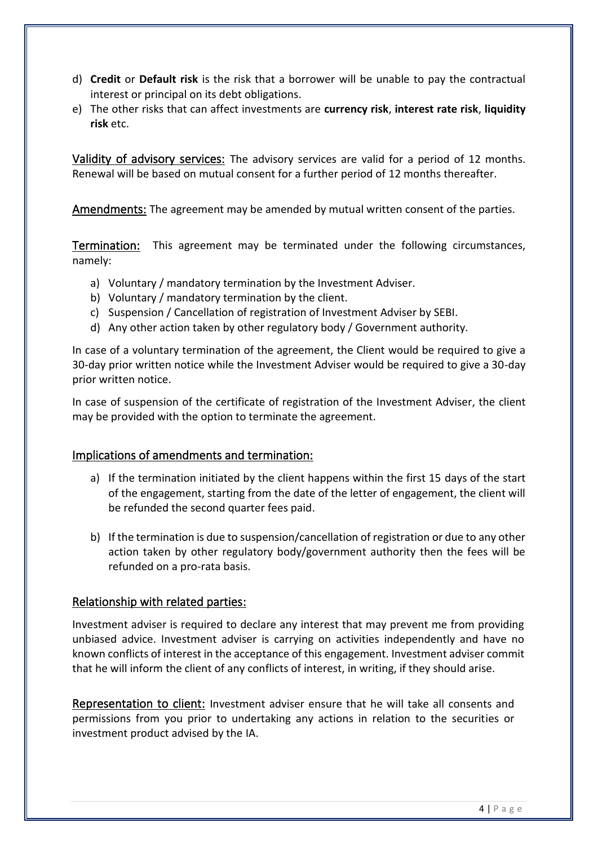- d) **Credit** or **Default risk** is the risk that a borrower will be unable to pay the contractual interest or principal on its debt obligations.
- e) The other risks that can affect investments are **currency risk**, **interest rate risk**, **liquidity risk** etc.

Validity of advisory services: The advisory services are valid for a period of 12 months. Renewal will be based on mutual consent for a further period of 12 months thereafter.

Amendments: The agreement may be amended by mutual written consent of the parties.

Termination:This agreement may be terminated under the following circumstances, namely:

- a) Voluntary / mandatory termination by the Investment Adviser.
- b) Voluntary / mandatory termination by the client.
- c) Suspension / Cancellation of registration of Investment Adviser by SEBI.
- d) Any other action taken by other regulatory body / Government authority.

In case of a voluntary termination of the agreement, the Client would be required to give a 30-day prior written notice while the Investment Adviser would be required to give a 30-day prior written notice.

In case of suspension of the certificate of registration of the Investment Adviser, the client may be provided with the option to terminate the agreement.

# Implications of amendments and termination:

- a) If the termination initiated by the client happens within the first 15 days of the start of the engagement, starting from the date of the letter of engagement, the client will be refunded the second quarter fees paid.
- b) If the termination is due to suspension/cancellation of registration or due to any other action taken by other regulatory body/government authority then the fees will be refunded on a pro-rata basis.

# Relationship with related parties:

Investment adviser is required to declare any interest that may prevent me from providing unbiased advice. Investment adviser is carrying on activities independently and have no known conflicts of interest in the acceptance of this engagement. Investment adviser commit that he will inform the client of any conflicts of interest, in writing, if they should arise.

Representation to client: Investment adviser ensure that he will take all consents and permissions from you prior to undertaking any actions in relation to the securities or investment product advised by the IA.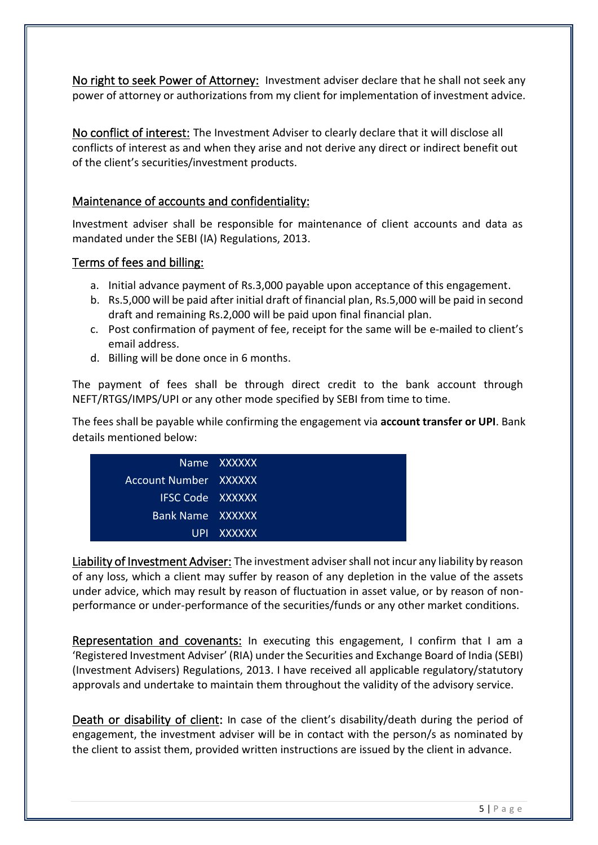No right to seek Power of Attorney: Investment adviser declare that he shall not seek any power of attorney or authorizations from my client for implementation of investment advice.

No conflict of interest: The Investment Adviser to clearly declare that it will disclose all conflicts of interest as and when they arise and not derive any direct or indirect benefit out of the client's securities/investment products.

# Maintenance of accounts and confidentiality:

Investment adviser shall be responsible for maintenance of client accounts and data as mandated under the SEBI (IA) Regulations, 2013.

# Terms of fees and billing:

- a. Initial advance payment of Rs.3,000 payable upon acceptance of this engagement.
- b. Rs.5,000 will be paid after initial draft of financial plan, Rs.5,000 will be paid in second draft and remaining Rs.2,000 will be paid upon final financial plan.
- c. Post confirmation of payment of fee, receipt for the same will be e-mailed to client's email address.
- d. Billing will be done once in 6 months.

The payment of fees shall be through direct credit to the bank account through NEFT/RTGS/IMPS/UPI or any other mode specified by SEBI from time to time.

The fees shall be payable while confirming the engagement via **account transfer or UPI**. Bank details mentioned below:

|                         | 'Name XXXXXX |
|-------------------------|--------------|
| Account Number XXXXXX   |              |
| <b>IFSC Code XXXXXX</b> |              |
| Bank Name XXXXXX        |              |
|                         | UPL XXXXXX   |

Liability of Investment Adviser: The investment adviser shall not incur any liability by reason of any loss, which a client may suffer by reason of any depletion in the value of the assets under advice, which may result by reason of fluctuation in asset value, or by reason of nonperformance or under-performance of the securities/funds or any other market conditions.

Representation and covenants: In executing this engagement, I confirm that I am a 'Registered Investment Adviser' (RIA) under the Securities and Exchange Board of India (SEBI) (Investment Advisers) Regulations, 2013. I have received all applicable regulatory/statutory approvals and undertake to maintain them throughout the validity of the advisory service.

Death or disability of client: In case of the client's disability/death during the period of engagement, the investment adviser will be in contact with the person/s as nominated by the client to assist them, provided written instructions are issued by the client in advance.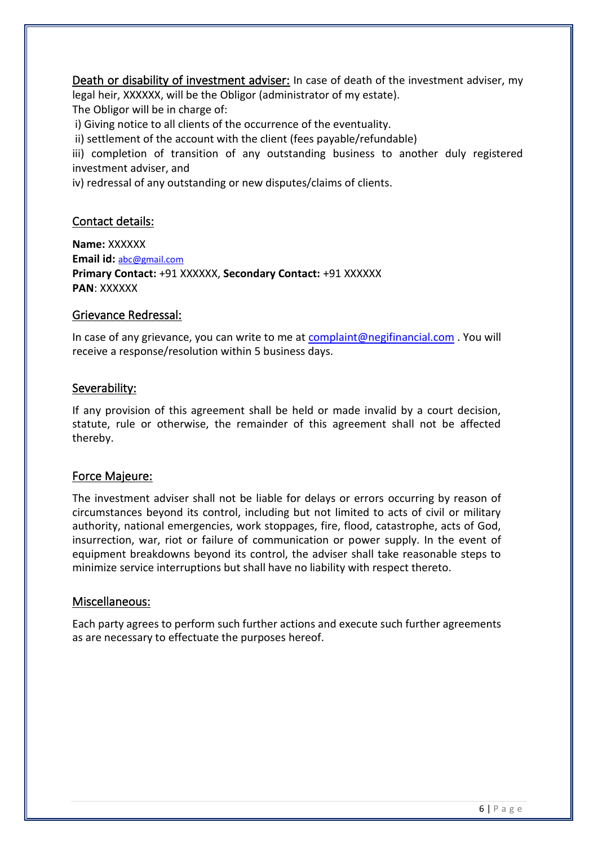Death or disability of investment adviser: In case of death of the investment adviser, my legal heir, XXXXXX, will be the Obligor (administrator of my estate). The Obligor will be in charge of:

i) Giving notice to all clients of the occurrence of the eventuality.

ii) settlement of the account with the client (fees payable/refundable)

iii) completion of transition of any outstanding business to another duly registered investment adviser, and

iv) redressal of any outstanding or new disputes/claims of clients.

# Contact details:

**Name:** XXXXXX **Email id:** [abc@gmail.com](mailto:abc@gmail.com) **Primary Contact:** +91 XXXXXX, **Secondary Contact:** +91 XXXXXX **PAN**: XXXXXX

## Grievance Redressal:

In case of any grievance, you can write to me at [complaint@negifinancial.com](mailto:complaint@negifinancial.com) . You will receive a response/resolution within 5 business days.

## Severability:

If any provision of this agreement shall be held or made invalid by a court decision, statute, rule or otherwise, the remainder of this agreement shall not be affected thereby.

# Force Majeure:

The investment adviser shall not be liable for delays or errors occurring by reason of circumstances beyond its control, including but not limited to acts of civil or military authority, national emergencies, work stoppages, fire, flood, catastrophe, acts of God, insurrection, war, riot or failure of communication or power supply. In the event of equipment breakdowns beyond its control, the adviser shall take reasonable steps to minimize service interruptions but shall have no liability with respect thereto.

### Miscellaneous:

Each party agrees to perform such further actions and execute such further agreements as are necessary to effectuate the purposes hereof.